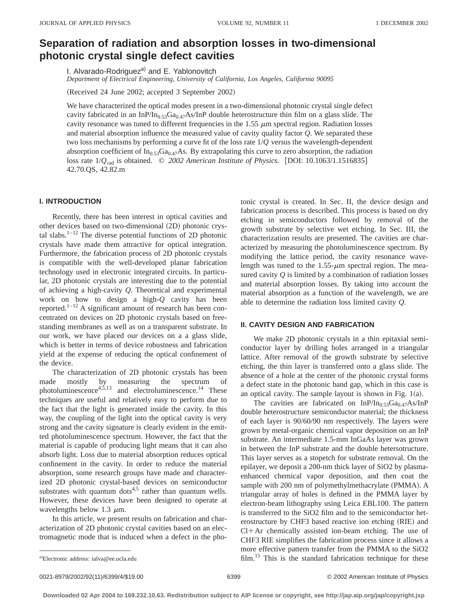# **Separation of radiation and absorption losses in two-dimensional photonic crystal single defect cavities**

I. Alvarado-Rodriguez<sup>a)</sup> and E. Yablonovitch

*Department of Electrical Engineering, University of California, Los Angeles, California 90095*

(Received 24 June 2002; accepted 3 September 2002)

We have characterized the optical modes present in a two-dimensional photonic crystal single defect cavity fabricated in an InP/In<sub>0.53</sub>Ga<sub>0.47</sub>As/InP double heterostructure thin film on a glass slide. The cavity resonance was tuned to different frequencies in the  $1.55 \mu m$  spectral region. Radiation losses and material absorption influence the measured value of cavity quality factor *Q*. We separated these two loss mechanisms by performing a curve fit of the loss rate 1/*Q* versus the wavelength-dependent absorption coefficient of  $In<sub>0.53</sub>Ga<sub>0.47</sub>As.$  By extrapolating this curve to zero absorption, the radiation loss rate  $1/Q_{rad}$  is obtained.  $\odot$  2002 American Institute of Physics. [DOI: 10.1063/1.1516835] 42.70.QS, 42.82.m

# **I. INTRODUCTION**

Recently, there has been interest in optical cavities and other devices based on two-dimensional (2D) photonic crystal slabs. $1-12$  The diverse potential functions of 2D photonic crystals have made them attractive for optical integration. Furthermore, the fabrication process of 2D photonic crystals is compatible with the well-developed planar fabrication technology used in electronic integrated circuits. In particular, 2D photonic crystals are interesting due to the potential of achieving a high-cavity *Q*. Theoretical and experimental work on how to design a high-*Q* cavity has been reported.1–12 A significant amount of research has been concentrated on devices on 2D photonic crystals based on freestanding membranes as well as on a transparent substrate. In our work, we have placed our devices on a a glass slide, which is better in terms of device robustness and fabrication yield at the expense of reducing the optical confinement of the device.

The characterization of 2D photonic crystals has been made mostly by measuring the spectrum of photoluminescence $4,5,13$  and electroluminescence.<sup>14</sup> These techniques are useful and relatively easy to perform due to the fact that the light is generated inside the cavity. In this way, the coupling of the light into the optical cavity is very strong and the cavity signature is clearly evident in the emitted photoluminescence spectrum. However, the fact that the material is capable of producing light means that it can also absorb light. Loss due to material absorption reduces optical confinement in the cavity. In order to reduce the material absorption, some research groups have made and characterized 2D photonic crystal-based devices on semiconductor substrates with quantum dots<sup>4,5</sup> rather than quantum wells. However, these devices have been designed to operate at wavelengths below 1.3  $\mu$ m.

In this article, we present results on fabrication and characterization of 2D photonic crystal cavities based on an electromagnetic mode that is induced when a defect in the photonic crystal is created. In Sec. II, the device design and fabrication process is described. This process is based on dry etching in semiconductors followed by removal of the growth substrate by selective wet etching. In Sec. III, the characterization results are presented. The cavities are characterized by measuring the photoluminescence spectrum. By modifying the lattice period, the cavity resonance wavelength was tuned to the  $1.55-\mu m$  spectral region. The measured cavity  $Q$  is limited by a combination of radiation losses and material absorption losses. By taking into account the material absorption as a function of the wavelength, we are able to determine the radiation loss limited cavity *Q*.

### **II. CAVITY DESIGN AND FABRICATION**

We make 2D photonic crystals in a thin epitaxial semiconductor layer by drilling holes arranged in a triangular lattice. After removal of the growth substrate by selective etching, the thin layer is transferred onto a glass slide. The absence of a hole at the center of the photonic crystal forms a defect state in the photonic band gap, which in this case is an optical cavity. The sample layout is shown in Fig.  $1(a)$ .

The cavities are fabricated on  $InP/In<sub>0.53</sub>Ga<sub>0.47</sub>As/InP$ double heterostructure semiconductor material; the thickness of each layer is 90/60/90 nm respectively. The layers were grown by metal-organic chemical vapor deposition on an InP substrate. An intermediate 1.5-mm InGaAs layer was grown in between the InP substrate and the double hetersotructure. This layer serves as a stopetch for substrate removal. On the epilayer, we deposit a 200-nm thick layer of SiO2 by plasmaenhanced chemical vapor deposition, and then coat the sample with 200 nm of polymethylmethacrylate (PMMA). A triangular array of holes is defined in the PMMA layer by electron-beam lithography using Leica EBL100. The pattern is transferred to the SiO2 film and to the semiconductor heterostructure by CHF3 based reactive ion etching (RIE) and  $Cl+Ar$  chemically assisted ion-beam etching. The use of CHF3 RIE simplifies the fabrication process since it allows a more effective pattern transfer from the PMMA to the SiO2 film.<sup>15</sup> This is the standard fabrication technique for these

Electronic address: ialva@ee.ucla.edu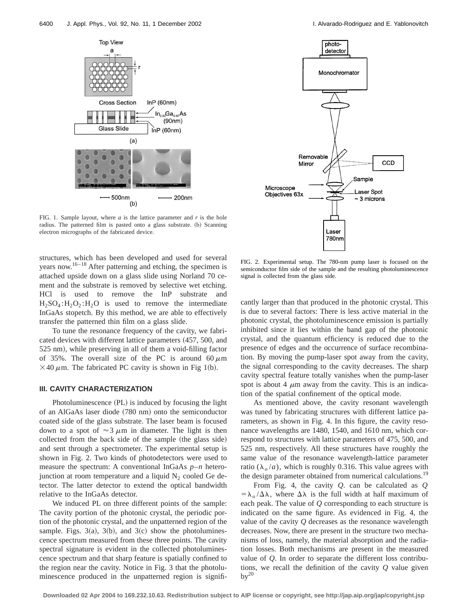

FIG. 1. Sample layout, where  $a$  is the lattice parameter and  $r$  is the hole radius. The patterned film is pasted onto a glass substrate. (b) Scanning electron micrographs of the fabricated device.

structures, which has been developed and used for several years now.<sup>16–18</sup> After patterning and etching, the specimen is attached upside down on a glass slide using Norland 70 cement and the substrate is removed by selective wet etching. HCl is used to remove the InP substrate and  $H_2SO_4$ : $H_2O_2$ : $H_2O$  is used to remove the intermediate InGaAs stopetch. By this method, we are able to effectively transfer the patterned thin film on a glass slide.

To tune the resonance frequency of the cavity, we fabricated devices with different lattice parameters  $(457, 500,$  and 525 nm), while preserving in all of them a void-filling factor of 35%. The overall size of the PC is around  $60 \mu m$  $\times$ 40  $\mu$ m. The fabricated PC cavity is shown in Fig 1(b).

#### **III. CAVITY CHARACTERIZATION**

Photoluminescence (PL) is induced by focusing the light of an AlGaAs laser diode (780 nm) onto the semiconductor coated side of the glass substrate. The laser beam is focused down to a spot of  $\approx 3 \mu m$  in diameter. The light is then collected from the back side of the sample (the glass side) and sent through a spectrometer. The experimental setup is shown in Fig. 2. Two kinds of photodetectors were used to measure the spectrum: A conventional InGaAs *p*–*n* heterojunction at room temperature and a liquid  $N<sub>2</sub>$  cooled Ge detector. The latter detector to extend the optical bandwidth relative to the InGaAs detector.

We induced PL on three different points of the sample: The cavity portion of the photonic crystal, the periodic portion of the photonic crystal, and the unpatterned region of the sample. Figs. 3(a), 3(b), and 3(c) show the photoluminescence spectrum measured from these three points. The cavity spectral signature is evident in the collected photoluminescence spectrum and that sharp feature is spatially confined to the region near the cavity. Notice in Fig. 3 that the photoluminescence produced in the unpatterned region is signifi-



FIG. 2. Experimental setup. The 780-nm pump laser is focused on the semiconductor film side of the sample and the resulting photoluminescence signal is collected from the glass side.

cantly larger than that produced in the photonic crystal. This is due to several factors: There is less active material in the photonic crystal, the photoluminescence emission is partially inhibited since it lies within the band gap of the photonic crystal, and the quantum efficiency is reduced due to the presence of edges and the occurrence of surface recombination. By moving the pump-laser spot away from the cavity, the signal corresponding to the cavity decreases. The sharp cavity spectral feature totally vanishes when the pump-laser spot is about 4  $\mu$ m away from the cavity. This is an indication of the spatial confinement of the optical mode.

As mentioned above, the cavity resonant wavelength was tuned by fabricating structures with different lattice parameters, as shown in Fig. 4. In this figure, the cavity resonance wavelengths are 1480, 1540, and 1610 nm, which correspond to structures with lattice parameters of 475, 500, and 525 nm, respectively. All these structures have roughly the same value of the resonance wavelength-lattice parameter ratio ( $\lambda_o/a$ ), which is roughly 0.316. This value agrees with the design parameter obtained from numerical calculations.<sup>19</sup>

From Fig. 4, the cavity *Q*. can be calculated as *Q*  $=\lambda_o/\Delta\lambda$ , where  $\Delta\lambda$  is the full width at half maximum of each peak. The value of *Q* corresponding to each structure is indicated on the same figure. As evidenced in Fig. 4, the value of the cavity *Q* decreases as the resonance wavelength decreases. Now, there are present in the structure two mechanisms of loss, namely, the material absorption and the radiation losses. Both mechanisms are present in the measured value of *Q*. In order to separate the different loss contributions, we recall the definition of the cavity *Q* value given  $bv^{20}$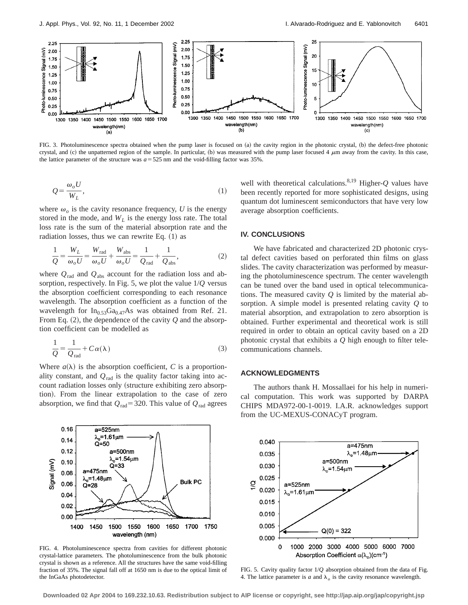

FIG. 3. Photoluminescence spectra obtained when the pump laser is focused on (a) the cavity region in the photonic crystal, (b) the defect-free photonic crystal, and (c) the unpatterned region of the sample. In particular, (b) was measured with the pump laser focused 4  $\mu$ m away from the cavity. In this case, the lattice parameter of the structure was  $a = 525$  nm and the void-filling factor was  $35\%$ .

$$
Q = \frac{\omega_o U}{W_L},\tag{1}
$$

where  $\omega_o$  is the cavity resonance frequency, *U* is the energy stored in the mode, and  $W_L$  is the energy loss rate. The total loss rate is the sum of the material absorption rate and the radiation losses, thus we can rewrite Eq.  $(1)$  as

$$
\frac{1}{Q} = \frac{W_L}{\omega_o U} = \frac{W_{\text{rad}}}{\omega_o U} + \frac{W_{\text{abs}}}{\omega_o U} = \frac{1}{Q_{\text{rad}}} + \frac{1}{Q_{\text{abs}}},\tag{2}
$$

where  $Q_{\text{rad}}$  and  $Q_{\text{abs}}$  account for the radiation loss and absorption, respectively. In Fig. 5, we plot the value 1/*Q* versus the absorption coefficient corresponding to each resonance wavelength. The absorption coefficient as a function of the wavelength for  $In<sub>0.53</sub>Ga<sub>0.47</sub>As was obtained from Ref. 21.$ From Eq.  $(2)$ , the dependence of the cavity  $Q$  and the absorption coefficient can be modelled as

$$
\frac{1}{Q} = \frac{1}{Q_{\text{rad}}} + C\alpha(\lambda)
$$
\n(3)

Where  $a(\lambda)$  is the absorption coefficient, *C* is a proportionality constant, and  $Q_{rad}$  is the quality factor taking into account radiation losses only (structure exhibiting zero absorption). From the linear extrapolation to the case of zero absorption, we find that  $Q_{rad}$ =320. This value of  $Q_{rad}$  agrees



FIG. 4. Photoluminescence spectra from cavities for different photonic crystal-lattice parameters. The photoluminescence from the bulk photonic crystal is shown as a reference. All the structures have the same void-filling fraction of 35%. The signal fall off at 1650 nm is due to the optical limit of the InGaAs photodetector.

well with theoretical calculations.<sup>8,19</sup> Higher- $Q$  values have been recently reported for more sophisticated designs, using quantum dot luminescent semiconductors that have very low average absorption coefficients.

#### **IV. CONCLUSIONS**

We have fabricated and characterized 2D photonic crystal defect cavities based on perforated thin films on glass slides. The cavity characterization was performed by measuring the photoluminescence spectrum. The center wavelength can be tuned over the band used in optical telecommunications. The measured cavity *Q* is limited by the material absorption. A simple model is presented relating cavity *Q* to material absorption, and extrapolation to zero absorption is obtained. Further experimental and theoretical work is still required in order to obtain an optical cavity based on a 2D photonic crystal that exhibits a *Q* high enough to filter telecommunications channels.

## **ACKNOWLEDGMENTS**

The authors thank H. Mossallaei for his help in numerical computation. This work was supported by DARPA CHIPS MDA972-00-1-0019. I.A.R. acknowledges support from the UC-MEXUS-CONACyT program.



FIG. 5. Cavity quality factor 1/*Q* absorption obtained from the data of Fig. 4. The lattice parameter is  $a$  and  $\lambda_o$  is the cavity resonance wavelength.